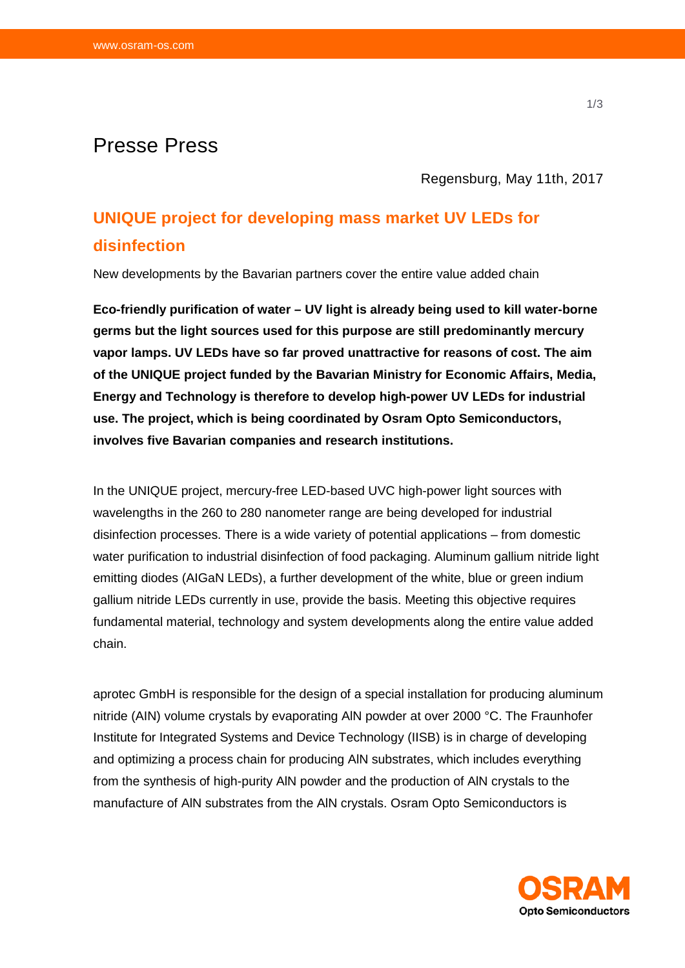## Presse Press

Regensburg, May 11th, 2017

# **UNIQUE project for developing mass market UV LEDs for disinfection**

New developments by the Bavarian partners cover the entire value added chain

**Eco-friendly purification of water – UV light is already being used to kill water-borne germs but the light sources used for this purpose are still predominantly mercury vapor lamps. UV LEDs have so far proved unattractive for reasons of cost. The aim of the UNIQUE project funded by the Bavarian Ministry for Economic Affairs, Media, Energy and Technology is therefore to develop high-power UV LEDs for industrial use. The project, which is being coordinated by Osram Opto Semiconductors, involves five Bavarian companies and research institutions.** 

In the UNIQUE project, mercury-free LED-based UVC high-power light sources with wavelengths in the 260 to 280 nanometer range are being developed for industrial disinfection processes. There is a wide variety of potential applications – from domestic water purification to industrial disinfection of food packaging. Aluminum gallium nitride light emitting diodes (AIGaN LEDs), a further development of the white, blue or green indium gallium nitride LEDs currently in use, provide the basis. Meeting this objective requires fundamental material, technology and system developments along the entire value added chain.

aprotec GmbH is responsible for the design of a special installation for producing aluminum nitride (AIN) volume crystals by evaporating AlN powder at over 2000 °C. The Fraunhofer Institute for Integrated Systems and Device Technology (IISB) is in charge of developing and optimizing a process chain for producing AlN substrates, which includes everything from the synthesis of high-purity AlN powder and the production of AlN crystals to the manufacture of AlN substrates from the AlN crystals. Osram Opto Semiconductors is

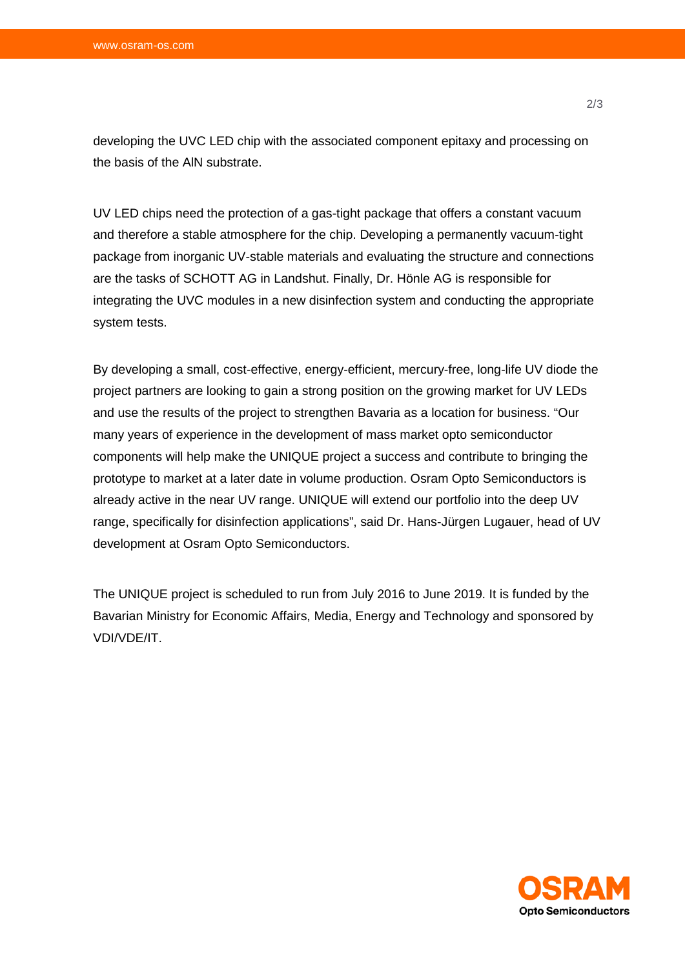developing the UVC LED chip with the associated component epitaxy and processing on the basis of the AlN substrate.

UV LED chips need the protection of a gas-tight package that offers a constant vacuum and therefore a stable atmosphere for the chip. Developing a permanently vacuum-tight package from inorganic UV-stable materials and evaluating the structure and connections are the tasks of SCHOTT AG in Landshut. Finally, Dr. Hönle AG is responsible for integrating the UVC modules in a new disinfection system and conducting the appropriate system tests.

By developing a small, cost-effective, energy-efficient, mercury-free, long-life UV diode the project partners are looking to gain a strong position on the growing market for UV LEDs and use the results of the project to strengthen Bavaria as a location for business. "Our many years of experience in the development of mass market opto semiconductor components will help make the UNIQUE project a success and contribute to bringing the prototype to market at a later date in volume production. Osram Opto Semiconductors is already active in the near UV range. UNIQUE will extend our portfolio into the deep UV range, specifically for disinfection applications", said Dr. Hans-Jürgen Lugauer, head of UV development at Osram Opto Semiconductors.

The UNIQUE project is scheduled to run from July 2016 to June 2019. It is funded by the Bavarian Ministry for Economic Affairs, Media, Energy and Technology and sponsored by VDI/VDE/IT.